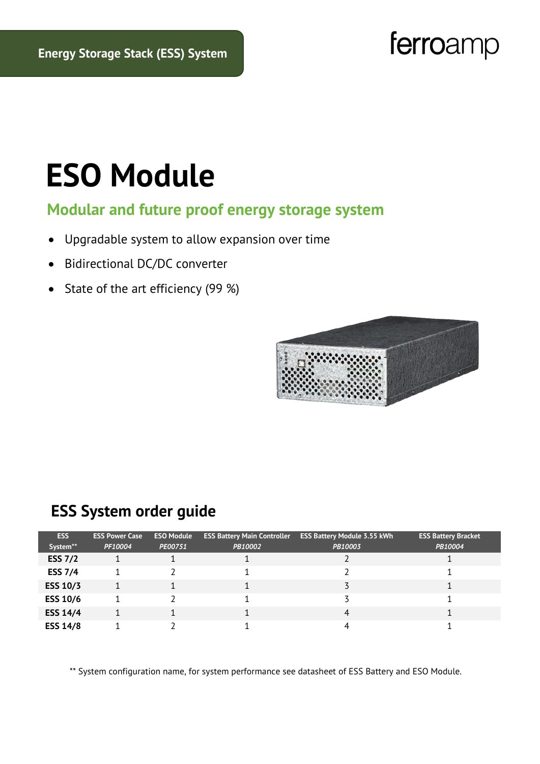## ferroamp

# **ESO Module**

#### **Modular and future proof energy storage system**

- Upgradable system to allow expansion over time
- Bidirectional DC/DC converter
- State of the art efficiency (99 %)



#### **ESS System order guide**

| <b>ESS</b>      | <b>ESS Power Case</b> | <b>ESO Module</b> | <b>ESS Battery Main Controller</b> | <b>ESS Battery Module 3.55 kWh</b> | <b>ESS Battery Bracket</b> |
|-----------------|-----------------------|-------------------|------------------------------------|------------------------------------|----------------------------|
| System**        | PF10004               | PE00751           | PB10002                            | PB10003                            | PB10004                    |
| <b>ESS 7/2</b>  |                       |                   |                                    |                                    |                            |
| <b>ESS 7/4</b>  |                       |                   |                                    |                                    |                            |
| <b>ESS 10/3</b> |                       |                   |                                    |                                    |                            |
| <b>ESS 10/6</b> |                       |                   |                                    |                                    |                            |
| <b>ESS 14/4</b> |                       |                   |                                    | 4                                  |                            |
| <b>ESS 14/8</b> |                       |                   |                                    |                                    |                            |

\*\* System configuration name, for system performance see datasheet of ESS Battery and ESO Module.